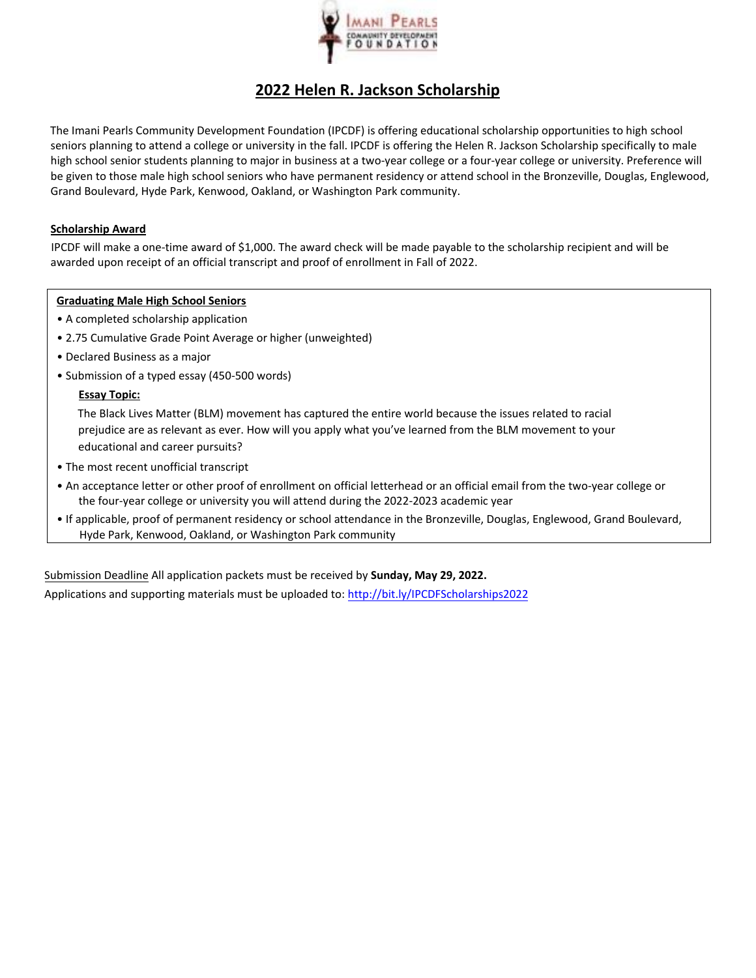

# **2022 Helen R. Jackson Scholarship**

The Imani Pearls Community Development Foundation (IPCDF) is offering educational scholarship opportunities to high school seniors planning to attend a college or university in the fall. IPCDF is offering the Helen R. Jackson Scholarship specifically to male high school senior students planning to major in business at a two-year college or a four-year college or university. Preference will be given to those male high school seniors who have permanent residency or attend school in the Bronzeville, Douglas, Englewood, Grand Boulevard, Hyde Park, Kenwood, Oakland, or Washington Park community.

#### **Scholarship Award**

IPCDF will make a one‐time award of \$1,000. The award check will be made payable to the scholarship recipient and will be awarded upon receipt of an official transcript and proof of enrollment in Fall of 2022.

#### **Graduating Male High School Seniors**

- A completed scholarship application
- 2.75 Cumulative Grade Point Average or higher (unweighted)
- Declared Business as a major
- Submission of a typed essay (450-500 words)

### **Essay Topic:**

The Black Lives Matter (BLM) movement has captured the entire world because the issues related to racial prejudice are as relevant as ever. How will you apply what you've learned from the BLM movement to your educational and career pursuits?

- The most recent unofficial transcript
- An acceptance letter or other proof of enrollment on official letterhead or an official email from the two‐year college or the four‐year college or university you will attend during the 2022‐2023 academic year
- If applicable, proof of permanent residency or school attendance in the Bronzeville, Douglas, Englewood, Grand Boulevard, Hyde Park, Kenwood, Oakland, or Washington Park community

Submission Deadline All application packets must be received by **Sunday, May 29, 2022.**  Applications and supporting materials must be uploaded to: http://bit.ly/IPCDFScholarships2022